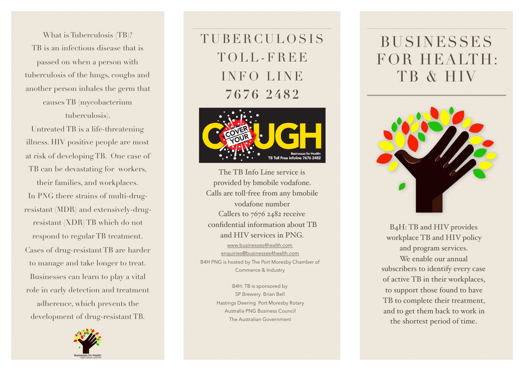What is Tuberculosis (TB)? TB is an infectious disease that is passed on when a person with tuberculosis of the lungs, coughs and another person inhales the germ that causes TB (mycobacterium tuberculosis).

Untreated TB is a life-threatening illness. HIV positive people are most at risk of developing TB. One case of TB can be devastating for workers,

their families, and workplaces. In PNG there strains of multi-drugresistant (MDR) and extensively-drugresistant (XDR) TB which do not respond to regular TB treatment. Cases of drug-resistant TB are harder to manage and take longer to treat. Businesses can learn to play a vital role in early detection and treatment adherence, which prevents the development of drug-resistant TB.



TUBERCULOSIS TOLL-FREE INFO LINE **7676 2482** 



[www.businesses4health.com](http://www.businesses4health.com) [enquiries@businesses4health.com](mailto:enquiries@businesses4health.com) B4H PNG is hosted by The Port Moresby Chamber of Commerce & Industry The TB Info Line service is provided by bmobile vodafone. Calls are toll-free from any bmobile vodafone number Callers to 7676 2482 receive confidential information about TB and HIV services in PNG.

> B4H: TB is sponsored by SP Brewery Brian Bell Hastings Deering Port Moresby Rotary Australia PNG Business Council The Australian Government

# BUSINESSES FOR HEALTH: TB & HIV



B4H: TB and HIV provides workplace TB and HIV policy and program services. We enable our annual subscribers to identify every case of active TB in their workplaces, to support those found to have TB to complete their treatment, and to get them back to work in the shortest period of time.